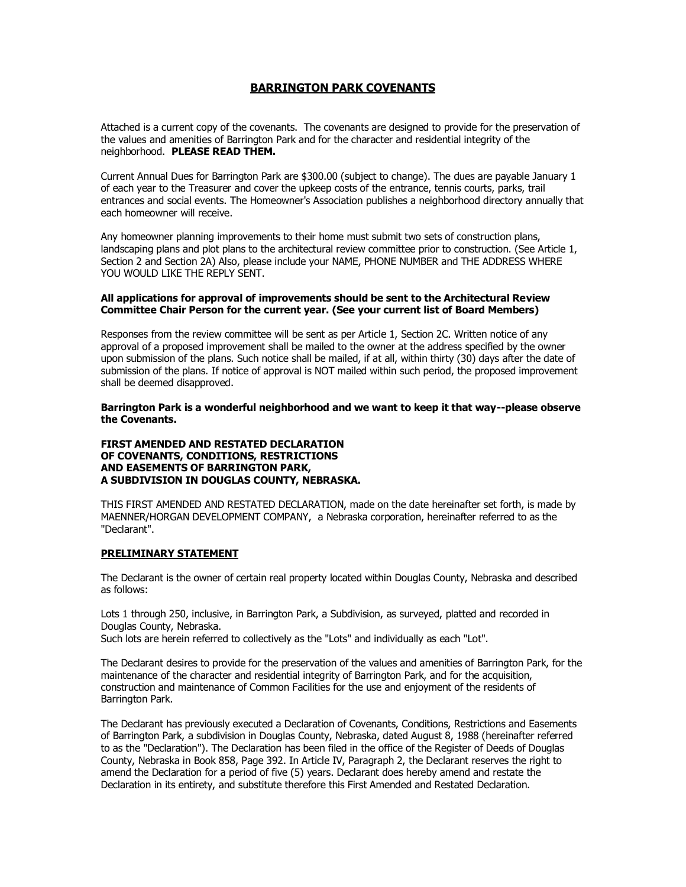# **BARRINGTON PARK COVENANTS**

Attached is a current copy of the covenants. The covenants are designed to provide for the preservation of the values and amenities of Barrington Park and for the character and residential integrity of the neighborhood. **PLEASE READ THEM.**

Current Annual Dues for Barrington Park are \$300.00 (subject to change). The dues are payable January 1 of each year to the Treasurer and cover the upkeep costs of the entrance, tennis courts, parks, trail entrances and social events. The Homeowner's Association publishes a neighborhood directory annually that each homeowner will receive.

Any homeowner planning improvements to their home must submit two sets of construction plans, landscaping plans and plot plans to the architectural review committee prior to construction. (See Article 1, Section 2 and Section 2A) Also, please include your NAME, PHONE NUMBER and THE ADDRESS WHERE YOU WOULD LIKE THE REPLY SENT.

#### **All applications for approval of improvements should be sent to the Architectural Review Committee Chair Person for the current year. (See your current list of Board Members)**

Responses from the review committee will be sent as per Article 1, Section 2C. Written notice of any approval of a proposed improvement shall be mailed to the owner at the address specified by the owner upon submission of the plans. Such notice shall be mailed, if at all, within thirty (30) days after the date of submission of the plans. If notice of approval is NOT mailed within such period, the proposed improvement shall be deemed disapproved.

**Barrington Park is a wonderful neighborhood and we want to keep it that way--please observe the Covenants.**

## **FIRST AMENDED AND RESTATED DECLARATION OF COVENANTS, CONDITIONS, RESTRICTIONS AND EASEMENTS OF BARRINGTON PARK, A SUBDIVISION IN DOUGLAS COUNTY, NEBRASKA.**

THIS FIRST AMENDED AND RESTATED DECLARATION, made on the date hereinafter set forth, is made by MAENNER/HORGAN DEVELOPMENT COMPANY, a Nebraska corporation, hereinafter referred to as the "Declarant".

#### **PRELIMINARY STATEMENT**

The Declarant is the owner of certain real property located within Douglas County, Nebraska and described as follows:

Lots 1 through 250, inclusive, in Barrington Park, a Subdivision, as surveyed, platted and recorded in Douglas County, Nebraska.

Such lots are herein referred to collectively as the "Lots" and individually as each "Lot".

The Declarant desires to provide for the preservation of the values and amenities of Barrington Park, for the maintenance of the character and residential integrity of Barrington Park, and for the acquisition, construction and maintenance of Common Facilities for the use and enjoyment of the residents of Barrington Park.

The Declarant has previously executed a Declaration of Covenants, Conditions, Restrictions and Easements of Barrington Park, a subdivision in Douglas County, Nebraska, dated August 8, 1988 (hereinafter referred to as the "Declaration"). The Declaration has been filed in the office of the Register of Deeds of Douglas County, Nebraska in Book 858, Page 392. In Article IV, Paragraph 2, the Declarant reserves the right to amend the Declaration for a period of five (5) years. Declarant does hereby amend and restate the Declaration in its entirety, and substitute therefore this First Amended and Restated Declaration.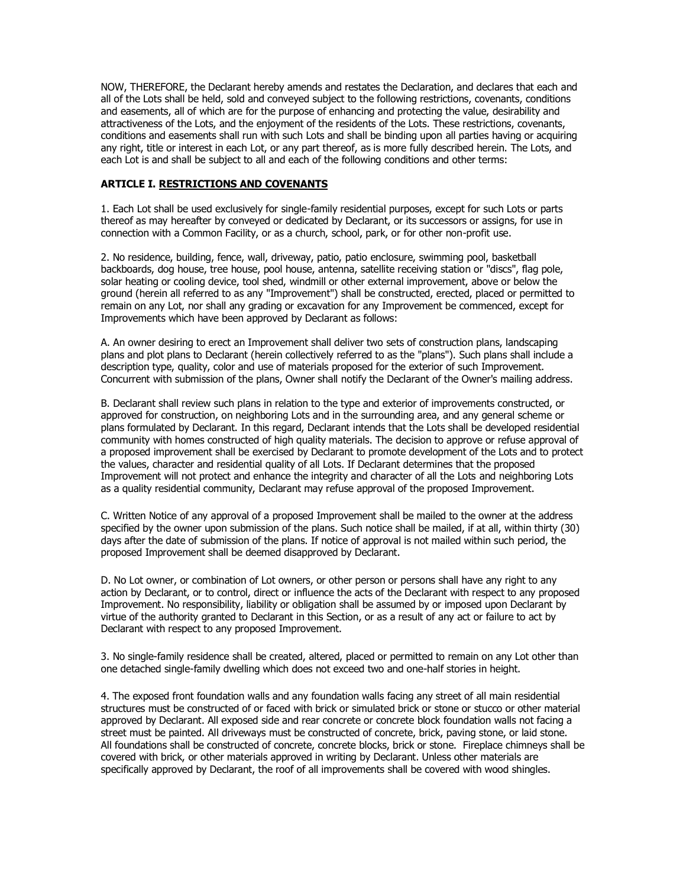NOW, THEREFORE, the Declarant hereby amends and restates the Declaration, and declares that each and all of the Lots shall be held, sold and conveyed subject to the following restrictions, covenants, conditions and easements, all of which are for the purpose of enhancing and protecting the value, desirability and attractiveness of the Lots, and the enjoyment of the residents of the Lots. These restrictions, covenants, conditions and easements shall run with such Lots and shall be binding upon all parties having or acquiring any right, title or interest in each Lot, or any part thereof, as is more fully described herein. The Lots, and each Lot is and shall be subject to all and each of the following conditions and other terms:

## **ARTICLE I. RESTRICTIONS AND COVENANTS**

1. Each Lot shall be used exclusively for single-family residential purposes, except for such Lots or parts thereof as may hereafter by conveyed or dedicated by Declarant, or its successors or assigns, for use in connection with a Common Facility, or as a church, school, park, or for other non-profit use.

2. No residence, building, fence, wall, driveway, patio, patio enclosure, swimming pool, basketball backboards, dog house, tree house, pool house, antenna, satellite receiving station or "discs", flag pole, solar heating or cooling device, tool shed, windmill or other external improvement, above or below the ground (herein all referred to as any "Improvement") shall be constructed, erected, placed or permitted to remain on any Lot, nor shall any grading or excavation for any Improvement be commenced, except for Improvements which have been approved by Declarant as follows:

A. An owner desiring to erect an Improvement shall deliver two sets of construction plans, landscaping plans and plot plans to Declarant (herein collectively referred to as the "plans"). Such plans shall include a description type, quality, color and use of materials proposed for the exterior of such Improvement. Concurrent with submission of the plans, Owner shall notify the Declarant of the Owner's mailing address.

B. Declarant shall review such plans in relation to the type and exterior of improvements constructed, or approved for construction, on neighboring Lots and in the surrounding area, and any general scheme or plans formulated by Declarant. In this regard, Declarant intends that the Lots shall be developed residential community with homes constructed of high quality materials. The decision to approve or refuse approval of a proposed improvement shall be exercised by Declarant to promote development of the Lots and to protect the values, character and residential quality of all Lots. If Declarant determines that the proposed Improvement will not protect and enhance the integrity and character of all the Lots and neighboring Lots as a quality residential community, Declarant may refuse approval of the proposed Improvement.

C. Written Notice of any approval of a proposed Improvement shall be mailed to the owner at the address specified by the owner upon submission of the plans. Such notice shall be mailed, if at all, within thirty (30) days after the date of submission of the plans. If notice of approval is not mailed within such period, the proposed Improvement shall be deemed disapproved by Declarant.

D. No Lot owner, or combination of Lot owners, or other person or persons shall have any right to any action by Declarant, or to control, direct or influence the acts of the Declarant with respect to any proposed Improvement. No responsibility, liability or obligation shall be assumed by or imposed upon Declarant by virtue of the authority granted to Declarant in this Section, or as a result of any act or failure to act by Declarant with respect to any proposed Improvement.

3. No single-family residence shall be created, altered, placed or permitted to remain on any Lot other than one detached single-family dwelling which does not exceed two and one-half stories in height.

4. The exposed front foundation walls and any foundation walls facing any street of all main residential structures must be constructed of or faced with brick or simulated brick or stone or stucco or other material approved by Declarant. All exposed side and rear concrete or concrete block foundation walls not facing a street must be painted. All driveways must be constructed of concrete, brick, paving stone, or laid stone. All foundations shall be constructed of concrete, concrete blocks, brick or stone. Fireplace chimneys shall be covered with brick, or other materials approved in writing by Declarant. Unless other materials are specifically approved by Declarant, the roof of all improvements shall be covered with wood shingles.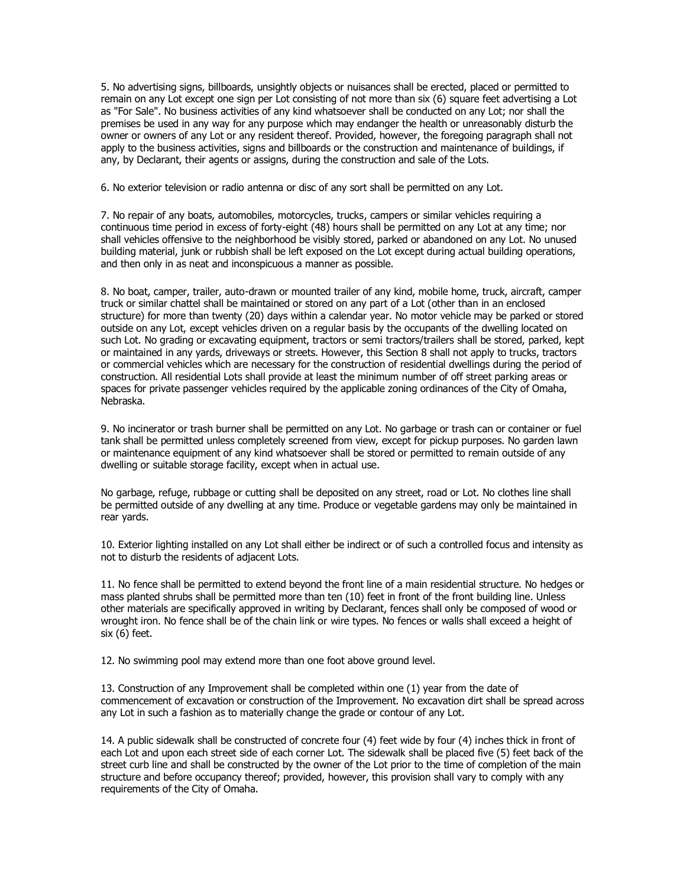5. No advertising signs, billboards, unsightly objects or nuisances shall be erected, placed or permitted to remain on any Lot except one sign per Lot consisting of not more than six (6) square feet advertising a Lot as "For Sale". No business activities of any kind whatsoever shall be conducted on any Lot; nor shall the premises be used in any way for any purpose which may endanger the health or unreasonably disturb the owner or owners of any Lot or any resident thereof. Provided, however, the foregoing paragraph shall not apply to the business activities, signs and billboards or the construction and maintenance of buildings, if any, by Declarant, their agents or assigns, during the construction and sale of the Lots.

6. No exterior television or radio antenna or disc of any sort shall be permitted on any Lot.

7. No repair of any boats, automobiles, motorcycles, trucks, campers or similar vehicles requiring a continuous time period in excess of forty-eight (48) hours shall be permitted on any Lot at any time; nor shall vehicles offensive to the neighborhood be visibly stored, parked or abandoned on any Lot. No unused building material, junk or rubbish shall be left exposed on the Lot except during actual building operations, and then only in as neat and inconspicuous a manner as possible.

8. No boat, camper, trailer, auto-drawn or mounted trailer of any kind, mobile home, truck, aircraft, camper truck or similar chattel shall be maintained or stored on any part of a Lot (other than in an enclosed structure) for more than twenty (20) days within a calendar year. No motor vehicle may be parked or stored outside on any Lot, except vehicles driven on a regular basis by the occupants of the dwelling located on such Lot. No grading or excavating equipment, tractors or semi tractors/trailers shall be stored, parked, kept or maintained in any yards, driveways or streets. However, this Section 8 shall not apply to trucks, tractors or commercial vehicles which are necessary for the construction of residential dwellings during the period of construction. All residential Lots shall provide at least the minimum number of off street parking areas or spaces for private passenger vehicles required by the applicable zoning ordinances of the City of Omaha, Nebraska.

9. No incinerator or trash burner shall be permitted on any Lot. No garbage or trash can or container or fuel tank shall be permitted unless completely screened from view, except for pickup purposes. No garden lawn or maintenance equipment of any kind whatsoever shall be stored or permitted to remain outside of any dwelling or suitable storage facility, except when in actual use.

No garbage, refuge, rubbage or cutting shall be deposited on any street, road or Lot. No clothes line shall be permitted outside of any dwelling at any time. Produce or vegetable gardens may only be maintained in rear yards.

10. Exterior lighting installed on any Lot shall either be indirect or of such a controlled focus and intensity as not to disturb the residents of adjacent Lots.

11. No fence shall be permitted to extend beyond the front line of a main residential structure. No hedges or mass planted shrubs shall be permitted more than ten (10) feet in front of the front building line. Unless other materials are specifically approved in writing by Declarant, fences shall only be composed of wood or wrought iron. No fence shall be of the chain link or wire types. No fences or walls shall exceed a height of six (6) feet.

12. No swimming pool may extend more than one foot above ground level.

13. Construction of any Improvement shall be completed within one (1) year from the date of commencement of excavation or construction of the Improvement. No excavation dirt shall be spread across any Lot in such a fashion as to materially change the grade or contour of any Lot.

14. A public sidewalk shall be constructed of concrete four (4) feet wide by four (4) inches thick in front of each Lot and upon each street side of each corner Lot. The sidewalk shall be placed five (5) feet back of the street curb line and shall be constructed by the owner of the Lot prior to the time of completion of the main structure and before occupancy thereof; provided, however, this provision shall vary to comply with any requirements of the City of Omaha.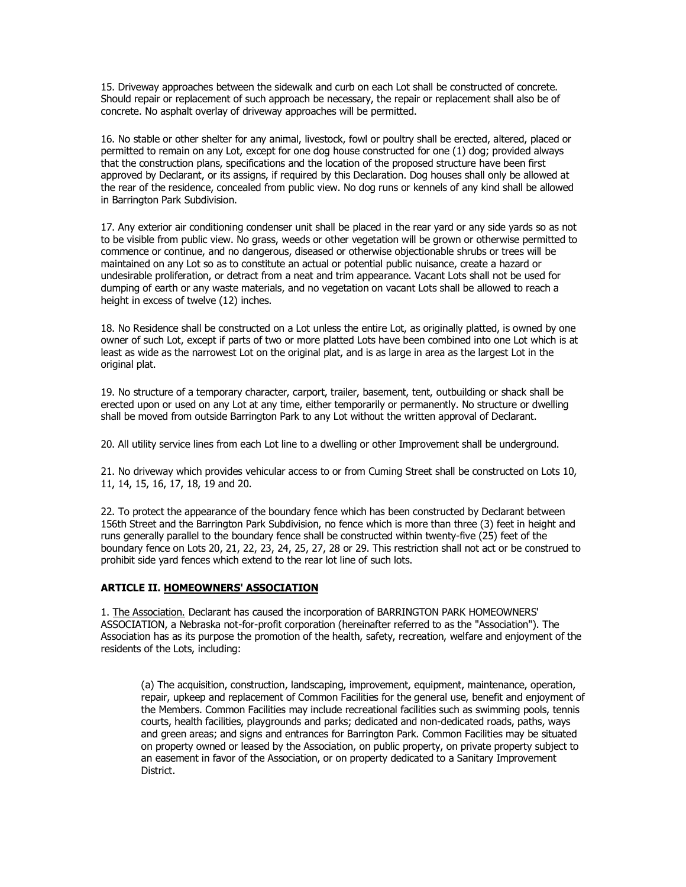15. Driveway approaches between the sidewalk and curb on each Lot shall be constructed of concrete. Should repair or replacement of such approach be necessary, the repair or replacement shall also be of concrete. No asphalt overlay of driveway approaches will be permitted.

16. No stable or other shelter for any animal, livestock, fowl or poultry shall be erected, altered, placed or permitted to remain on any Lot, except for one dog house constructed for one (1) dog; provided always that the construction plans, specifications and the location of the proposed structure have been first approved by Declarant, or its assigns, if required by this Declaration. Dog houses shall only be allowed at the rear of the residence, concealed from public view. No dog runs or kennels of any kind shall be allowed in Barrington Park Subdivision.

17. Any exterior air conditioning condenser unit shall be placed in the rear yard or any side yards so as not to be visible from public view. No grass, weeds or other vegetation will be grown or otherwise permitted to commence or continue, and no dangerous, diseased or otherwise objectionable shrubs or trees will be maintained on any Lot so as to constitute an actual or potential public nuisance, create a hazard or undesirable proliferation, or detract from a neat and trim appearance. Vacant Lots shall not be used for dumping of earth or any waste materials, and no vegetation on vacant Lots shall be allowed to reach a height in excess of twelve (12) inches.

18. No Residence shall be constructed on a Lot unless the entire Lot, as originally platted, is owned by one owner of such Lot, except if parts of two or more platted Lots have been combined into one Lot which is at least as wide as the narrowest Lot on the original plat, and is as large in area as the largest Lot in the original plat.

19. No structure of a temporary character, carport, trailer, basement, tent, outbuilding or shack shall be erected upon or used on any Lot at any time, either temporarily or permanently. No structure or dwelling shall be moved from outside Barrington Park to any Lot without the written approval of Declarant.

20. All utility service lines from each Lot line to a dwelling or other Improvement shall be underground.

21. No driveway which provides vehicular access to or from Cuming Street shall be constructed on Lots 10, 11, 14, 15, 16, 17, 18, 19 and 20.

22. To protect the appearance of the boundary fence which has been constructed by Declarant between 156th Street and the Barrington Park Subdivision, no fence which is more than three (3) feet in height and runs generally parallel to the boundary fence shall be constructed within twenty-five (25) feet of the boundary fence on Lots 20, 21, 22, 23, 24, 25, 27, 28 or 29. This restriction shall not act or be construed to prohibit side yard fences which extend to the rear lot line of such lots.

## **ARTICLE II. HOMEOWNERS' ASSOCIATION**

1. The Association. Declarant has caused the incorporation of BARRINGTON PARK HOMEOWNERS' ASSOCIATION, a Nebraska not-for-profit corporation (hereinafter referred to as the "Association"). The Association has as its purpose the promotion of the health, safety, recreation, welfare and enjoyment of the residents of the Lots, including:

(a) The acquisition, construction, landscaping, improvement, equipment, maintenance, operation, repair, upkeep and replacement of Common Facilities for the general use, benefit and enjoyment of the Members. Common Facilities may include recreational facilities such as swimming pools, tennis courts, health facilities, playgrounds and parks; dedicated and non-dedicated roads, paths, ways and green areas; and signs and entrances for Barrington Park. Common Facilities may be situated on property owned or leased by the Association, on public property, on private property subject to an easement in favor of the Association, or on property dedicated to a Sanitary Improvement District.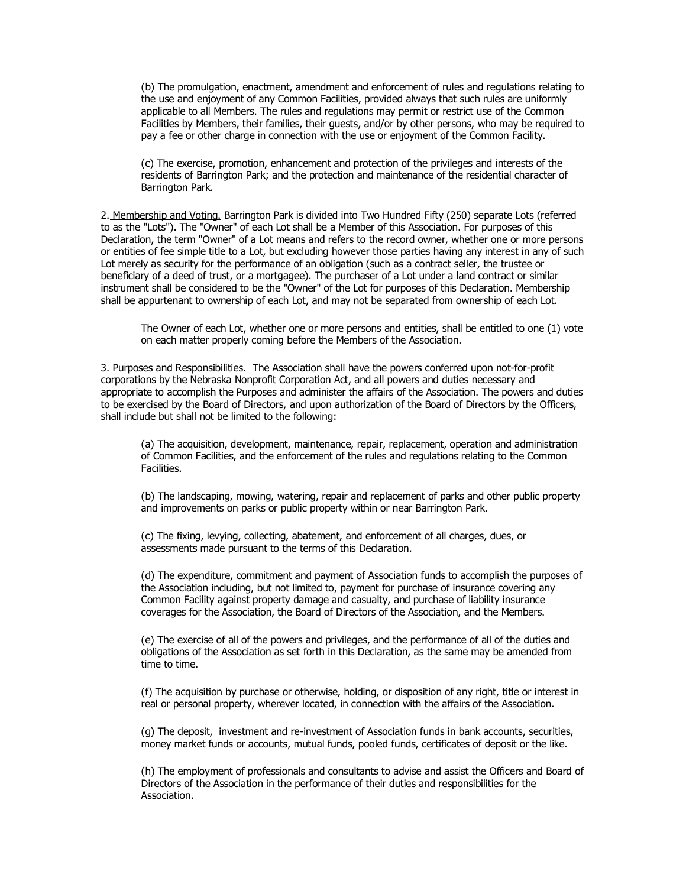(b) The promulgation, enactment, amendment and enforcement of rules and regulations relating to the use and enjoyment of any Common Facilities, provided always that such rules are uniformly applicable to all Members. The rules and regulations may permit or restrict use of the Common Facilities by Members, their families, their guests, and/or by other persons, who may be required to pay a fee or other charge in connection with the use or enjoyment of the Common Facility.

(c) The exercise, promotion, enhancement and protection of the privileges and interests of the residents of Barrington Park; and the protection and maintenance of the residential character of Barrington Park.

2. Membership and Voting. Barrington Park is divided into Two Hundred Fifty (250) separate Lots (referred to as the "Lots"). The "Owner" of each Lot shall be a Member of this Association. For purposes of this Declaration, the term "Owner" of a Lot means and refers to the record owner, whether one or more persons or entities of fee simple title to a Lot, but excluding however those parties having any interest in any of such Lot merely as security for the performance of an obligation (such as a contract seller, the trustee or beneficiary of a deed of trust, or a mortgagee). The purchaser of a Lot under a land contract or similar instrument shall be considered to be the "Owner" of the Lot for purposes of this Declaration. Membership shall be appurtenant to ownership of each Lot, and may not be separated from ownership of each Lot.

The Owner of each Lot, whether one or more persons and entities, shall be entitled to one (1) vote on each matter properly coming before the Members of the Association.

3. Purposes and Responsibilities. The Association shall have the powers conferred upon not-for-profit corporations by the Nebraska Nonprofit Corporation Act, and all powers and duties necessary and appropriate to accomplish the Purposes and administer the affairs of the Association. The powers and duties to be exercised by the Board of Directors, and upon authorization of the Board of Directors by the Officers, shall include but shall not be limited to the following:

(a) The acquisition, development, maintenance, repair, replacement, operation and administration of Common Facilities, and the enforcement of the rules and regulations relating to the Common Facilities.

(b) The landscaping, mowing, watering, repair and replacement of parks and other public property and improvements on parks or public property within or near Barrington Park.

(c) The fixing, levying, collecting, abatement, and enforcement of all charges, dues, or assessments made pursuant to the terms of this Declaration.

(d) The expenditure, commitment and payment of Association funds to accomplish the purposes of the Association including, but not limited to, payment for purchase of insurance covering any Common Facility against property damage and casualty, and purchase of liability insurance coverages for the Association, the Board of Directors of the Association, and the Members.

(e) The exercise of all of the powers and privileges, and the performance of all of the duties and obligations of the Association as set forth in this Declaration, as the same may be amended from time to time.

(f) The acquisition by purchase or otherwise, holding, or disposition of any right, title or interest in real or personal property, wherever located, in connection with the affairs of the Association.

(g) The deposit, investment and re-investment of Association funds in bank accounts, securities, money market funds or accounts, mutual funds, pooled funds, certificates of deposit or the like.

(h) The employment of professionals and consultants to advise and assist the Officers and Board of Directors of the Association in the performance of their duties and responsibilities for the Association.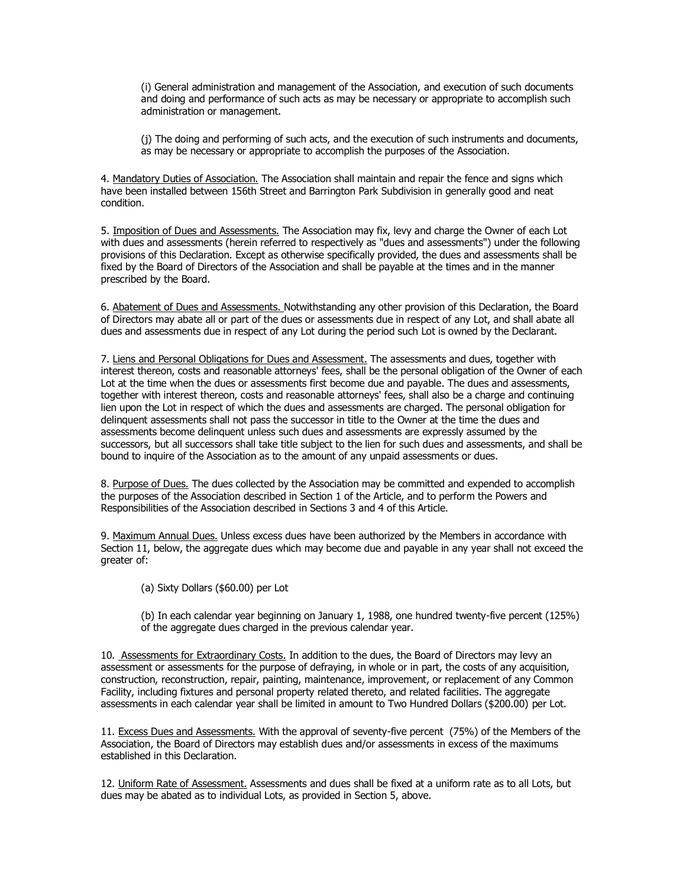(i) General administration and management of the Association, and execution of such documents and doing and performance of such acts as may be necessary or appropriate to accomplish such administration or management.

(j) The doing and performing of such acts, and the execution of such instruments and documents, as may be necessary or appropriate to accomplish the purposes of the Association.

4. Mandatory Duties of Association. The Association shall maintain and repair the fence and signs which have been installed between 156th Street and Barrington Park Subdivision in generally good and neat condition.

5. Imposition of Dues and Assessments. The Association may fix, levy and charge the Owner of each Lot with dues and assessments (herein referred to respectively as "dues and assessments") under the following provisions of this Declaration. Except as otherwise specifically provided, the dues and assessments shall be fixed by the Board of Directors of the Association and shall be payable at the times and in the manner prescribed by the Board.

6. Abatement of Dues and Assessments. Notwithstanding any other provision of this Declaration, the Board of Directors may abate all or part of the dues or assessments due in respect of any Lot, and shall abate all dues and assessments due in respect of any Lot during the period such Lot is owned by the Declarant.

7. Liens and Personal Obligations for Dues and Assessment. The assessments and dues, together with interest thereon, costs and reasonable attorneys' fees, shall be the personal obligation of the Owner of each Lot at the time when the dues or assessments first become due and payable. The dues and assessments, together with interest thereon, costs and reasonable attorneys' fees, shall also be a charge and continuing lien upon the Lot in respect of which the dues and assessments are charged. The personal obligation for delinquent assessments shall not pass the successor in title to the Owner at the time the dues and assessments become delinquent unless such dues and assessments are expressly assumed by the successors, but all successors shall take title subject to the lien for such dues and assessments, and shall be bound to inquire of the Association as to the amount of any unpaid assessments or dues.

8. Purpose of Dues. The dues collected by the Association may be committed and expended to accomplish the purposes of the Association described in Section 1 of the Article, and to perform the Powers and Responsibilities of the Association described in Sections 3 and 4 of this Article.

9. Maximum Annual Dues. Unless excess dues have been authorized by the Members in accordance with Section 11, below, the aggregate dues which may become due and payable in any year shall not exceed the greater of:

(a) Sixty Dollars (\$60.00) per Lot

(b) In each calendar year beginning on January 1, 1988, one hundred twenty-five percent (125%) of the aggregate dues charged in the previous calendar year.

10. Assessments for Extraordinary Costs. In addition to the dues, the Board of Directors may levy an assessment or assessments for the purpose of defraying, in whole or in part, the costs of any acquisition, construction, reconstruction, repair, painting, maintenance, improvement, or replacement of any Common Facility, including fixtures and personal property related thereto, and related facilities. The aggregate assessments in each calendar year shall be limited in amount to Two Hundred Dollars (\$200.00) per Lot.

11. Excess Dues and Assessments. With the approval of seventy-five percent (75%) of the Members of the Association, the Board of Directors may establish dues and/or assessments in excess of the maximums established in this Declaration.

12. Uniform Rate of Assessment. Assessments and dues shall be fixed at a uniform rate as to all Lots, but dues may be abated as to individual Lots, as provided in Section 5, above.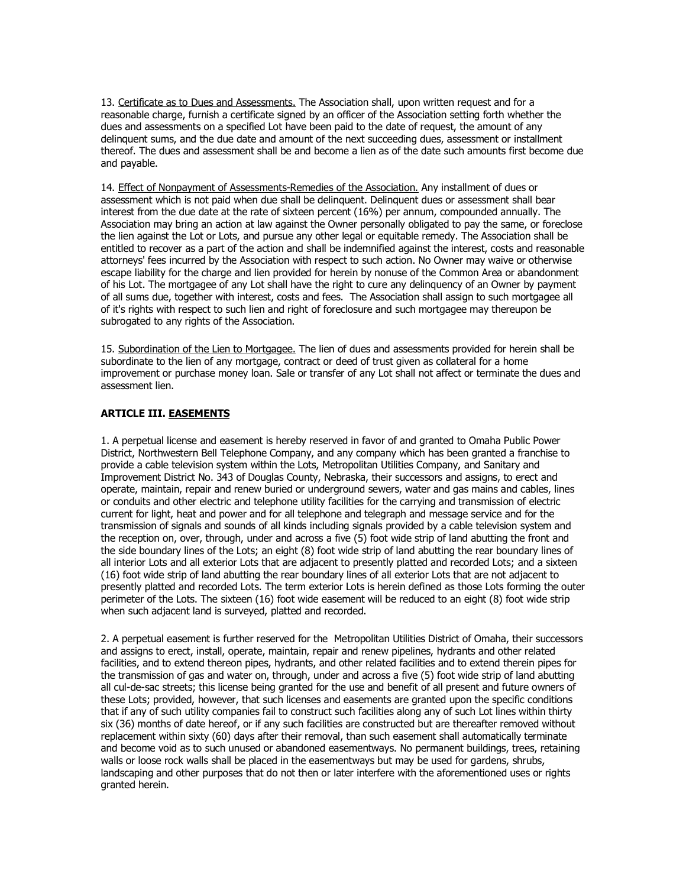13. Certificate as to Dues and Assessments. The Association shall, upon written request and for a reasonable charge, furnish a certificate signed by an officer of the Association setting forth whether the dues and assessments on a specified Lot have been paid to the date of request, the amount of any delinquent sums, and the due date and amount of the next succeeding dues, assessment or installment thereof. The dues and assessment shall be and become a lien as of the date such amounts first become due and payable.

14. Effect of Nonpayment of Assessments-Remedies of the Association. Any installment of dues or assessment which is not paid when due shall be delinquent. Delinquent dues or assessment shall bear interest from the due date at the rate of sixteen percent (16%) per annum, compounded annually. The Association may bring an action at law against the Owner personally obligated to pay the same, or foreclose the lien against the Lot or Lots, and pursue any other legal or equitable remedy. The Association shall be entitled to recover as a part of the action and shall be indemnified against the interest, costs and reasonable attorneys' fees incurred by the Association with respect to such action. No Owner may waive or otherwise escape liability for the charge and lien provided for herein by nonuse of the Common Area or abandonment of his Lot. The mortgagee of any Lot shall have the right to cure any delinquency of an Owner by payment of all sums due, together with interest, costs and fees. The Association shall assign to such mortgagee all of it's rights with respect to such lien and right of foreclosure and such mortgagee may thereupon be subrogated to any rights of the Association.

15. Subordination of the Lien to Mortgagee. The lien of dues and assessments provided for herein shall be subordinate to the lien of any mortgage, contract or deed of trust given as collateral for a home improvement or purchase money loan. Sale or transfer of any Lot shall not affect or terminate the dues and assessment lien.

# **ARTICLE III. EASEMENTS**

1. A perpetual license and easement is hereby reserved in favor of and granted to Omaha Public Power District, Northwestern Bell Telephone Company, and any company which has been granted a franchise to provide a cable television system within the Lots, Metropolitan Utilities Company, and Sanitary and Improvement District No. 343 of Douglas County, Nebraska, their successors and assigns, to erect and operate, maintain, repair and renew buried or underground sewers, water and gas mains and cables, lines or conduits and other electric and telephone utility facilities for the carrying and transmission of electric current for light, heat and power and for all telephone and telegraph and message service and for the transmission of signals and sounds of all kinds including signals provided by a cable television system and the reception on, over, through, under and across a five (5) foot wide strip of land abutting the front and the side boundary lines of the Lots; an eight (8) foot wide strip of land abutting the rear boundary lines of all interior Lots and all exterior Lots that are adjacent to presently platted and recorded Lots; and a sixteen (16) foot wide strip of land abutting the rear boundary lines of all exterior Lots that are not adjacent to presently platted and recorded Lots. The term exterior Lots is herein defined as those Lots forming the outer perimeter of the Lots. The sixteen (16) foot wide easement will be reduced to an eight (8) foot wide strip when such adjacent land is surveyed, platted and recorded.

2. A perpetual easement is further reserved for the Metropolitan Utilities District of Omaha, their successors and assigns to erect, install, operate, maintain, repair and renew pipelines, hydrants and other related facilities, and to extend thereon pipes, hydrants, and other related facilities and to extend therein pipes for the transmission of gas and water on, through, under and across a five (5) foot wide strip of land abutting all cul-de-sac streets; this license being granted for the use and benefit of all present and future owners of these Lots; provided, however, that such licenses and easements are granted upon the specific conditions that if any of such utility companies fail to construct such facilities along any of such Lot lines within thirty six (36) months of date hereof, or if any such facilities are constructed but are thereafter removed without replacement within sixty (60) days after their removal, than such easement shall automatically terminate and become void as to such unused or abandoned easementways. No permanent buildings, trees, retaining walls or loose rock walls shall be placed in the easementways but may be used for gardens, shrubs, landscaping and other purposes that do not then or later interfere with the aforementioned uses or rights granted herein.